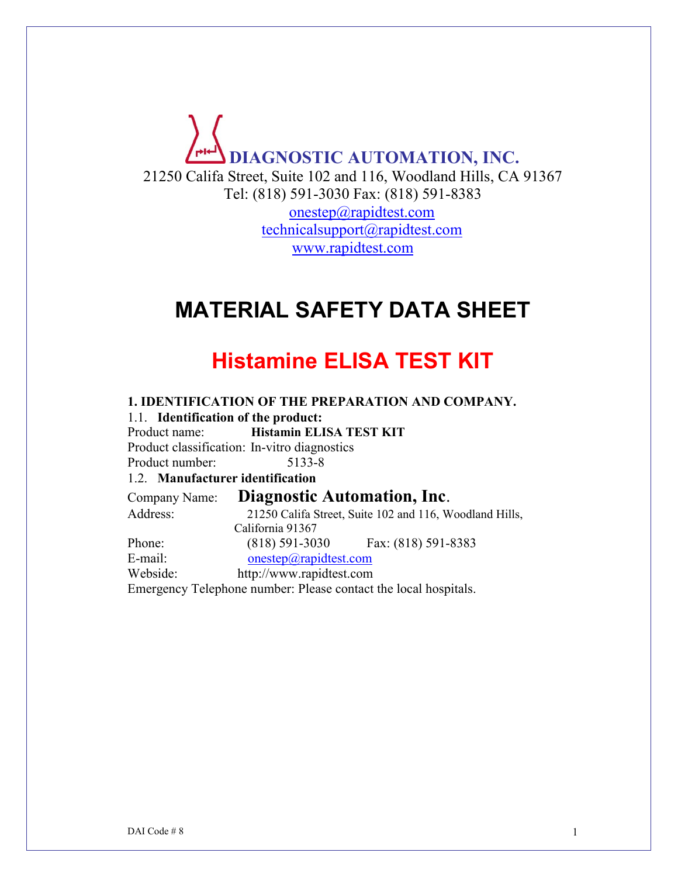# **DIAGNOSTIC AUTOMATION, INC.** 21250 Califa Street, Suite 102 and 116, Woodland Hills, CA 91367 Tel: (818) 591-3030 Fax: (818) 591-8383 [onestep@rapidtest.com](mailto:onestep@rapidtest.com) [technicalsupport@rapidtest.com](mailto:technicalsupport@rapidtest.com) www.rapidtest.com

# **MATERIAL SAFETY DATA SHEET**

# **Histamine ELISA TEST KIT**

**1. IDENTIFICATION OF THE PREPARATION AND COMPANY.** 1.1. **Identification of the product:** Product name: **Histamin ELISA TEST KIT** Product classification: In-vitro diagnostics Product number: 5133-8 1.2. **Manufacturer identification** Company Name: **Diagnostic Automation, Inc**. Address: 21250 Califa Street, Suite 102 and 116, Woodland Hills, California 91367 Phone: (818) 591-3030 Fax: (818) 591-8383 E-mail: [onestep@rapidtest.com](mailto:onestep@rapidtest.com) Webside: http://www.rapidtest.com Emergency Telephone number: Please contact the local hospitals.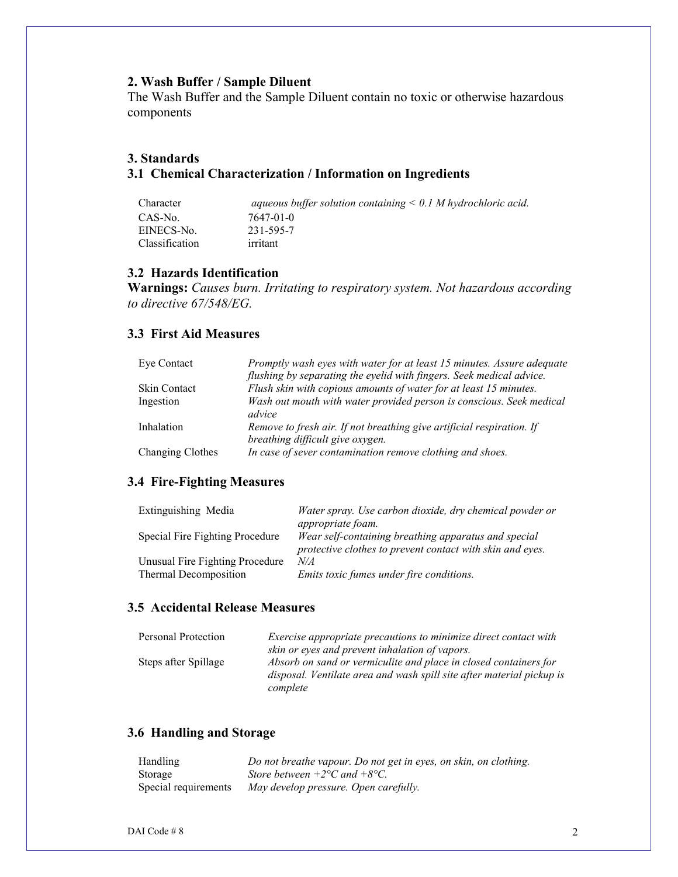#### **2. Wash Buffer / Sample Diluent**

The Wash Buffer and the Sample Diluent contain no toxic or otherwise hazardous components

# **3. Standards 3.1 Chemical Characterization / Information on Ingredients**

| Character      | aqueous buffer solution containing $\leq 0.1$ M hydrochloric acid. |
|----------------|--------------------------------------------------------------------|
| CAS-No.        | 7647-01-0                                                          |
| EINECS-No.     | 231-595-7                                                          |
| Classification | irritant                                                           |

#### **3.2 Hazards Identification**

**Warnings:** *Causes burn. Irritating to respiratory system. Not hazardous according to directive 67/548/EG.*

#### **3.3 First Aid Measures**

| Eye Contact         | Promptly wash eyes with water for at least 15 minutes. Assure adequate<br>flushing by separating the eyelid with fingers. Seek medical advice. |
|---------------------|------------------------------------------------------------------------------------------------------------------------------------------------|
| <b>Skin Contact</b> | Flush skin with copious amounts of water for at least 15 minutes.                                                                              |
| Ingestion           | Wash out mouth with water provided person is conscious. Seek medical<br>advice                                                                 |
| Inhalation          | Remove to fresh air. If not breathing give artificial respiration. If<br>breathing difficult give oxygen.                                      |
| Changing Clothes    | In case of sever contamination remove clothing and shoes.                                                                                      |

#### **3.4 Fire-Fighting Measures**

| Extinguishing Media                                      | Water spray. Use carbon dioxide, dry chemical powder or<br>appropriate foam.                                      |
|----------------------------------------------------------|-------------------------------------------------------------------------------------------------------------------|
| Special Fire Fighting Procedure                          | Wear self-containing breathing apparatus and special<br>protective clothes to prevent contact with skin and eyes. |
| Unusual Fire Fighting Procedure<br>Thermal Decomposition | N/A<br><i>Emits toxic fumes under fire conditions.</i>                                                            |

#### **3.5 Accidental Release Measures**

| Personal Protection  | Exercise appropriate precautions to minimize direct contact with      |
|----------------------|-----------------------------------------------------------------------|
|                      | skin or eyes and prevent inhalation of vapors.                        |
| Steps after Spillage | Absorb on sand or vermiculite and place in closed containers for      |
|                      | disposal. Ventilate area and wash spill site after material pickup is |
|                      | complete                                                              |

# **3.6 Handling and Storage**

| Handling             | Do not breathe vapour. Do not get in eyes, on skin, on clothing. |
|----------------------|------------------------------------------------------------------|
| Storage              | Store between $+2$ <sup>o</sup> C and $+8$ <sup>o</sup> C.       |
| Special requirements | May develop pressure. Open carefully.                            |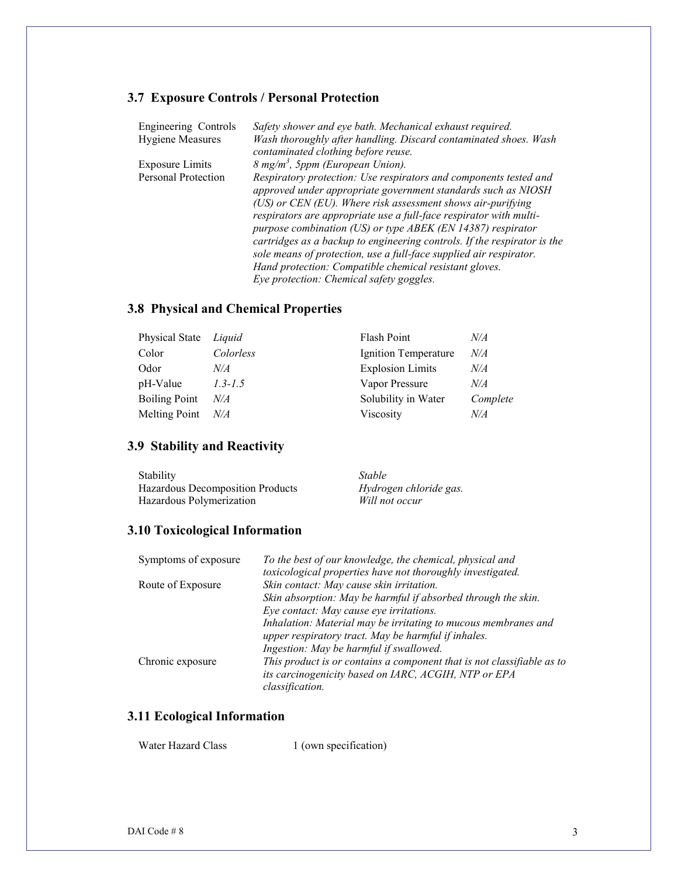# **3.7 Exposure Controls / Personal Protection**

| <b>Engineering Controls</b> | Safety shower and eye bath. Mechanical exhaust required.                                                                                                                                                                                                                                                                               |
|-----------------------------|----------------------------------------------------------------------------------------------------------------------------------------------------------------------------------------------------------------------------------------------------------------------------------------------------------------------------------------|
| <b>Hygiene Measures</b>     | Wash thoroughly after handling. Discard contaminated shoes. Wash                                                                                                                                                                                                                                                                       |
|                             | contaminated clothing before reuse.                                                                                                                                                                                                                                                                                                    |
| <b>Exposure Limits</b>      | 8 mg/m <sup>3</sup> , 5ppm (European Union).                                                                                                                                                                                                                                                                                           |
| Personal Protection         | Respiratory protection: Use respirators and components tested and<br>approved under appropriate government standards such as NIOSH<br>(US) or CEN (EU). Where risk assessment shows air-purifying<br>respirators are appropriate use a full-face respirator with multi-<br>purpose combination (US) or type ABEK (EN 14387) respirator |
|                             | cartridges as a backup to engineering controls. If the respirator is the<br>sole means of protection, use a full-face supplied air respirator.                                                                                                                                                                                         |
|                             | Hand protection: Compatible chemical resistant gloves.                                                                                                                                                                                                                                                                                 |
|                             | Eye protection: Chemical safety goggles.                                                                                                                                                                                                                                                                                               |

# **3.8 Physical and Chemical Properties**

| Physical State       | Liquid      | Flash Point             | N/A      |
|----------------------|-------------|-------------------------|----------|
| Color                | Colorless   | Ignition Temperature    | N/A      |
| Odor                 | N/A         | <b>Explosion Limits</b> | N/A      |
| pH-Value             | $1.3 - 1.5$ | Vapor Pressure          | N/A      |
| <b>Boiling Point</b> | N/A         | Solubility in Water     | Complete |
| <b>Melting Point</b> | N/A         | Viscosity               | N/A      |
|                      |             |                         |          |

# **3.9 Stability and Reactivity**

| Stability                        | <i>Stable</i>          |
|----------------------------------|------------------------|
| Hazardous Decomposition Products | Hydrogen chloride gas. |
| Hazardous Polymerization         | Will not occur         |

# **3.10 Toxicological Information**

| Symptoms of exposure | To the best of our knowledge, the chemical, physical and               |
|----------------------|------------------------------------------------------------------------|
|                      | toxicological properties have not thoroughly investigated.             |
| Route of Exposure    | Skin contact: May cause skin irritation.                               |
|                      | Skin absorption: May be harmful if absorbed through the skin.          |
|                      | Eye contact: May cause eye irritations.                                |
|                      | Inhalation: Material may be irritating to mucous membranes and         |
|                      | upper respiratory tract. May be harmful if inhales.                    |
|                      | Ingestion: May be harmful if swallowed.                                |
| Chronic exposure     | This product is or contains a component that is not classifiable as to |
|                      | its carcinogenicity based on IARC, ACGIH, NTP or EPA                   |
|                      | <i>classification.</i>                                                 |

# **3.11 Ecological Information**

| Water Hazard Class | 1 (own specification) |
|--------------------|-----------------------|
|--------------------|-----------------------|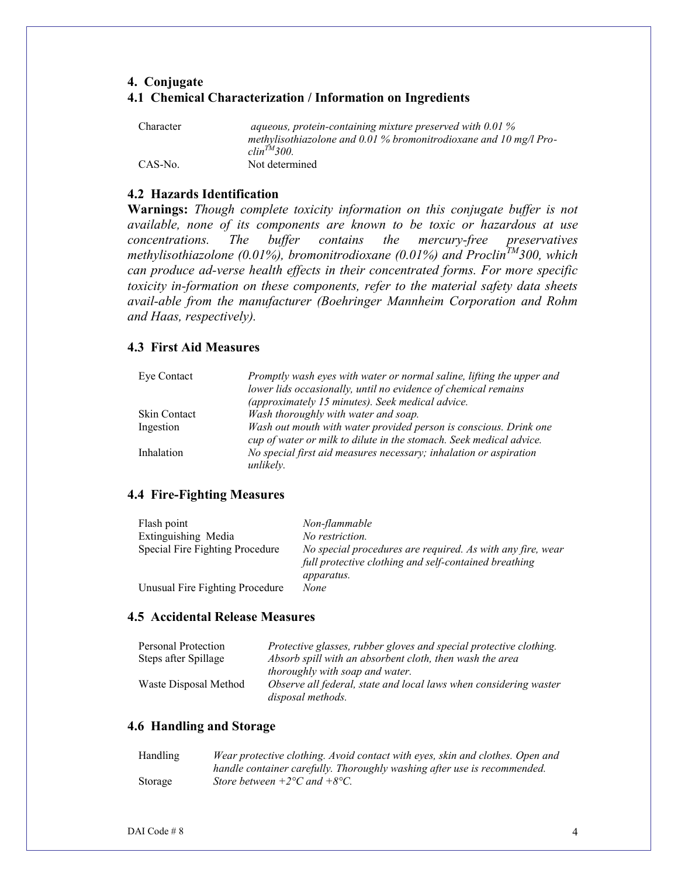# **4. Conjugate 4.1 Chemical Characterization / Information on Ingredients**

| Character | aqueous, protein-containing mixture preserved with $0.01\%$       |
|-----------|-------------------------------------------------------------------|
|           | methylisothiazolone and 0.01 % bromonitrodioxane and 10 mg/l Pro- |
|           | $\textit{clip}^{TM}$ 300.                                         |
| CAS-No.   | Not determined                                                    |

#### **4.2 Hazards Identification**

**Warnings:** *Though complete toxicity information on this conjugate buffer is not available, none of its components are known to be toxic or hazardous at use concentrations. The buffer contains the mercury-free preservatives methylisothiazolone (0.01%), bromonitrodioxane (0.01%) and ProclinTM300, which can produce ad-verse health effects in their concentrated forms. For more specific toxicity in-formation on these components, refer to the material safety data sheets avail-able from the manufacturer (Boehringer Mannheim Corporation and Rohm and Haas, respectively).*

#### **4.3 First Aid Measures**

| Eye Contact         | Promptly wash eyes with water or normal saline, lifting the upper and<br>lower lids occasionally, until no evidence of chemical remains  |
|---------------------|------------------------------------------------------------------------------------------------------------------------------------------|
|                     | (approximately 15 minutes). Seek medical advice.                                                                                         |
| <b>Skin Contact</b> | Wash thoroughly with water and soap.                                                                                                     |
| Ingestion           | Wash out mouth with water provided person is conscious. Drink one<br>cup of water or milk to dilute in the stomach. Seek medical advice. |
| Inhalation          | No special first aid measures necessary; inhalation or aspiration<br>unlikely.                                                           |

#### **4.4 Fire-Fighting Measures**

| Flash point                     | Non-flammable                                              |
|---------------------------------|------------------------------------------------------------|
| Extinguishing Media             | No restriction.                                            |
| Special Fire Fighting Procedure | No special procedures are required. As with any fire, wear |
|                                 | full protective clothing and self-contained breathing      |
|                                 | <i>apparatus.</i>                                          |
| Unusual Fire Fighting Procedure | None                                                       |

# **4.5 Accidental Release Measures**

| Personal Protection   | Protective glasses, rubber gloves and special protective clothing. |
|-----------------------|--------------------------------------------------------------------|
| Steps after Spillage  | Absorb spill with an absorbent cloth, then wash the area           |
|                       | thoroughly with soap and water.                                    |
| Waste Disposal Method | Observe all federal, state and local laws when considering waster  |
|                       | disposal methods.                                                  |

#### **4.6 Handling and Storage**

| Handling | Wear protective clothing. Avoid contact with eyes, skin and clothes. Open and |
|----------|-------------------------------------------------------------------------------|
|          | handle container carefully. Thoroughly washing after use is recommended.      |
| Storage  | Store between $+2$ °C and $+8$ °C.                                            |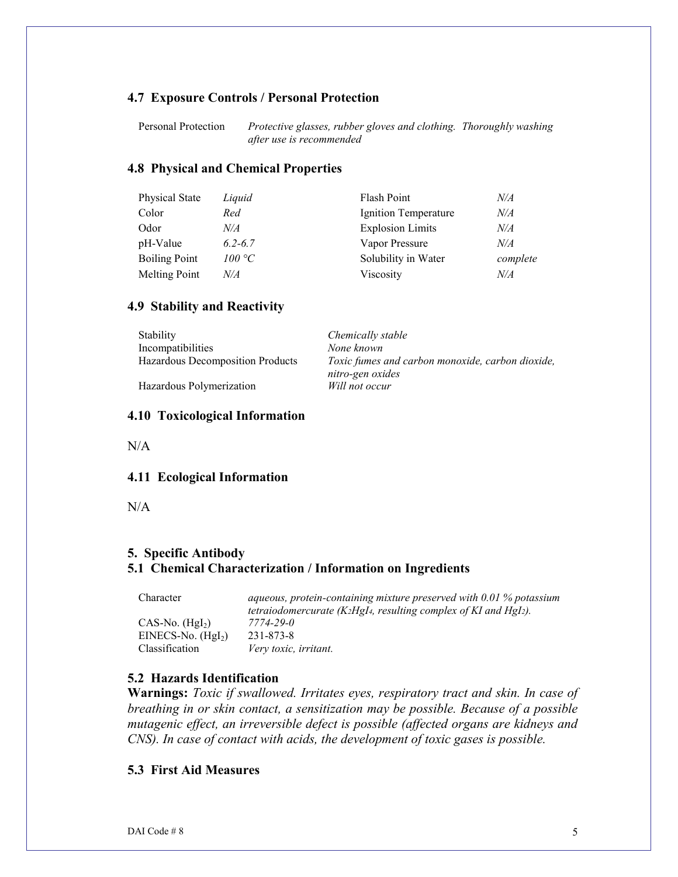#### **4.7 Exposure Controls / Personal Protection**

Personal Protection *Protective glasses, rubber gloves and clothing. Thoroughly washing after use is recommended*

#### **4.8 Physical and Chemical Properties**

| Physical State       | Liquid      | <b>Flash Point</b>      | N/A       |
|----------------------|-------------|-------------------------|-----------|
| Color                | Red         | Ignition Temperature    | N/A       |
| Odor                 | N/A         | <b>Explosion Limits</b> | $N\!/\!A$ |
| pH-Value             | $6.2 - 6.7$ | Vapor Pressure          | N/A       |
| <b>Boiling Point</b> | 100 °C      | Solubility in Water     | complete  |
| <b>Melting Point</b> | N/A         | Viscosity               | N/A       |

#### **4.9 Stability and Reactivity**

| <b>Stability</b>                 | Chemically stable                                                    |
|----------------------------------|----------------------------------------------------------------------|
| Incompatibilities                | None known                                                           |
| Hazardous Decomposition Products | Toxic fumes and carbon monoxide, carbon dioxide,<br>nitro-gen oxides |
| Hazardous Polymerization         | Will not occur                                                       |

#### **4.10 Toxicological Information**

 $N/A$ 

#### **4.11 Ecological Information**

N/A

#### **5. Specific Antibody 5.1 Chemical Characterization / Information on Ingredients**

| Character           | aqueous, protein-containing mixture preserved with $0.01\%$ potassium             |  |  |
|---------------------|-----------------------------------------------------------------------------------|--|--|
|                     | tetraiodomercurate ( $K_2HgI_4$ , resulting complex of KI and HgI <sub>2</sub> ). |  |  |
| $CAS-No. (Hgl2)$    | 7774-29-0                                                                         |  |  |
| $EINECS-No. (HgI2)$ | 231-873-8                                                                         |  |  |
| Classification      | Very toxic, irritant.                                                             |  |  |

#### **5.2 Hazards Identification**

**Warnings:** *Toxic if swallowed. Irritates eyes, respiratory tract and skin. In case of breathing in or skin contact, a sensitization may be possible. Because of a possible mutagenic effect, an irreversible defect is possible (affected organs are kidneys and CNS). In case of contact with acids, the development of toxic gases is possible.*

#### **5.3 First Aid Measures**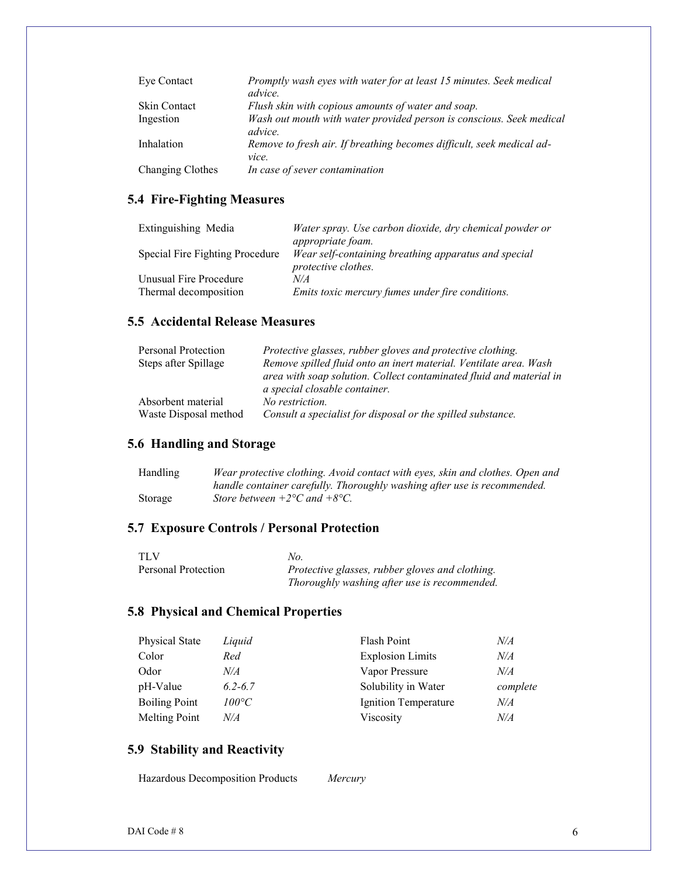| Eye Contact         | Promptly wash eyes with water for at least 15 minutes. Seek medical<br><i>advice.</i> |
|---------------------|---------------------------------------------------------------------------------------|
| <b>Skin Contact</b> | Flush skin with copious amounts of water and soap.                                    |
| Ingestion           | Wash out mouth with water provided person is conscious. Seek medical<br>advice.       |
| Inhalation          | Remove to fresh air. If breathing becomes difficult, seek medical ad-<br>vice.        |
| Changing Clothes    | In case of sever contamination                                                        |

# **5.4 Fire-Fighting Measures**

| Extinguishing Media             | Water spray. Use carbon dioxide, dry chemical powder or                            |
|---------------------------------|------------------------------------------------------------------------------------|
|                                 | <i>appropriate foam.</i>                                                           |
| Special Fire Fighting Procedure | Wear self-containing breathing apparatus and special<br><i>protective clothes.</i> |
| Unusual Fire Procedure          | N/A                                                                                |
| Thermal decomposition           | Emits toxic mercury fumes under fire conditions.                                   |

### **5.5 Accidental Release Measures**

| Personal Protection                         | Protective glasses, rubber gloves and protective clothing.                                                                                                                |
|---------------------------------------------|---------------------------------------------------------------------------------------------------------------------------------------------------------------------------|
| Steps after Spillage                        | Remove spilled fluid onto an inert material. Ventilate area. Wash<br>area with soap solution. Collect contaminated fluid and material in<br>a special closable container. |
| Absorbent material<br>Waste Disposal method | No restriction.<br>Consult a specialist for disposal or the spilled substance.                                                                                            |

# **5.6 Handling and Storage**

| Handling | Wear protective clothing. Avoid contact with eyes, skin and clothes. Open and |
|----------|-------------------------------------------------------------------------------|
|          | handle container carefully. Thoroughly washing after use is recommended.      |
| Storage  | Store between $+2$ <sup>o</sup> C and $+8$ <sup>o</sup> C.                    |

# **5.7 Exposure Controls / Personal Protection**

| <b>TLV</b>          | No.                                             |
|---------------------|-------------------------------------------------|
| Personal Protection | Protective glasses, rubber gloves and clothing. |
|                     | Thoroughly washing after use is recommended.    |

# **5.8 Physical and Chemical Properties**

| <b>Physical State</b> | Liquid         | Flash Point             | N/A      |
|-----------------------|----------------|-------------------------|----------|
| Color                 | Red            | <b>Explosion Limits</b> | N/A      |
| Odor                  | N/A            | Vapor Pressure          | N/A      |
| pH-Value              | $6.2 - 6.7$    | Solubility in Water     | complete |
| <b>Boiling Point</b>  | $100^{\circ}C$ | Ignition Temperature    | N/A      |
| <b>Melting Point</b>  | N/A            | Viscosity               | N/A      |

# **5.9 Stability and Reactivity**

Hazardous Decomposition Products *Mercury*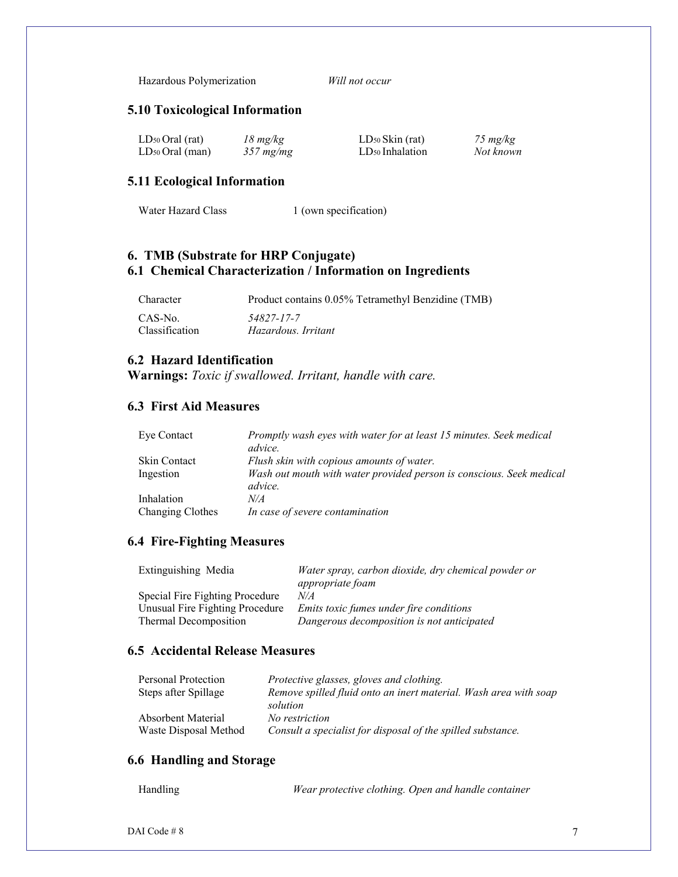Hazardous Polymerization *Will not occur*

#### **5.10 Toxicological Information**

| $LD_{50}$ Oral (rat) | $18 \, mg/kg$  | $LD_{50}$ Skin (rat)        | 75 $mg/kg$ |
|----------------------|----------------|-----------------------------|------------|
| $LD_{50}$ Oral (man) | $357 \, mg/mg$ | LD <sub>50</sub> Inhalation | Not known  |

#### **5.11 Ecological Information**

Water Hazard Class 1 (own specification)

#### **6. TMB (Substrate for HRP Conjugate) 6.1 Chemical Characterization / Information on Ingredients**

| Character      | Product contains 0.05% Tetramethyl Benzidine (TMB) |
|----------------|----------------------------------------------------|
| CAS-No.        | 54827-17-7                                         |
| Classification | Hazardous. Irritant                                |

## **6.2 Hazard Identification**

**Warnings:** *Toxic if swallowed. Irritant, handle with care.*

# **6.3 First Aid Measures**

| Eye Contact         | Promptly wash eyes with water for at least 15 minutes. Seek medical<br>advice.  |
|---------------------|---------------------------------------------------------------------------------|
| <b>Skin Contact</b> | Flush skin with copious amounts of water.                                       |
| Ingestion           | Wash out mouth with water provided person is conscious. Seek medical<br>advice. |
| Inhalation          | N/A                                                                             |
| Changing Clothes    | In case of severe contamination                                                 |

#### **6.4 Fire-Fighting Measures**

| Water spray, carbon dioxide, dry chemical powder or<br>appropriate foam |
|-------------------------------------------------------------------------|
|                                                                         |
| <i>Emits toxic fumes under fire conditions</i>                          |
| Dangerous decomposition is not anticipated                              |
|                                                                         |

#### **6.5 Accidental Release Measures**

| Personal Protection       | Protective glasses, gloves and clothing.                         |
|---------------------------|------------------------------------------------------------------|
| Steps after Spillage      | Remove spilled fluid onto an inert material. Wash area with soap |
|                           | solution                                                         |
| <b>Absorbent Material</b> | No restriction                                                   |
| Waste Disposal Method     | Consult a specialist for disposal of the spilled substance.      |

#### **6.6 Handling and Storage**

| Handling | Wear protective clothing. Open and handle container |
|----------|-----------------------------------------------------|
|----------|-----------------------------------------------------|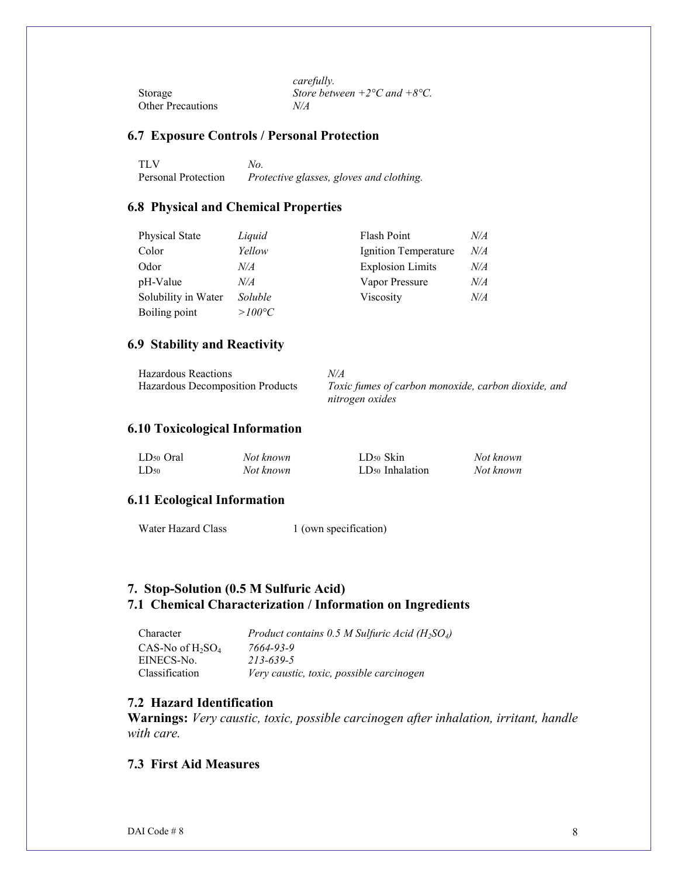|                          | carefully.                         |
|--------------------------|------------------------------------|
| Storage                  | Store between $+2$ °C and $+8$ °C. |
| <b>Other Precautions</b> | N/A                                |

### **6.7 Exposure Controls / Personal Protection**

| <b>TLV</b>          | No.                                      |
|---------------------|------------------------------------------|
| Personal Protection | Protective glasses, gloves and clothing. |

#### **6.8 Physical and Chemical Properties**

| Physical State      | Liquid          | <b>Flash Point</b>      | N/A |
|---------------------|-----------------|-------------------------|-----|
| Color               | Yellow          | Ignition Temperature    | N/A |
| Odor                | N/A             | <b>Explosion Limits</b> | N/A |
| pH-Value            | N/A             | Vapor Pressure          | N/A |
| Solubility in Water | Soluble         | Viscosity               | N/A |
| Boiling point       | $>100^{\circ}C$ |                         |     |

#### **6.9 Stability and Reactivity**

| <b>Hazardous Reactions</b>       | N/A                                                 |
|----------------------------------|-----------------------------------------------------|
| Hazardous Decomposition Products | Toxic fumes of carbon monoxide, carbon dioxide, and |
|                                  | nitrogen oxides                                     |

## **6.10 Toxicological Information**

| LD <sub>50</sub> Oral | Not known | $LD_{50}$ Skin              | Not known |
|-----------------------|-----------|-----------------------------|-----------|
| $LD_{50}$             | Not known | LD <sub>50</sub> Inhalation | Not known |

# **6.11 Ecological Information**

Water Hazard Class 1 (own specification)

# **7. Stop-Solution (0.5 M Sulfuric Acid) 7.1 Chemical Characterization / Information on Ingredients**

| Character           | Product contains 0.5 M Sulfuric Acid $(H_2SO_4)$ |
|---------------------|--------------------------------------------------|
| CAS-No of $H_2SO_4$ | 7664-93-9                                        |
| EINECS-No.          | 213-639-5                                        |
| Classification      | Very caustic, toxic, possible carcinogen         |

#### **7.2 Hazard Identification**

**Warnings:** *Very caustic, toxic, possible carcinogen after inhalation, irritant, handle with care.*

#### **7.3 First Aid Measures**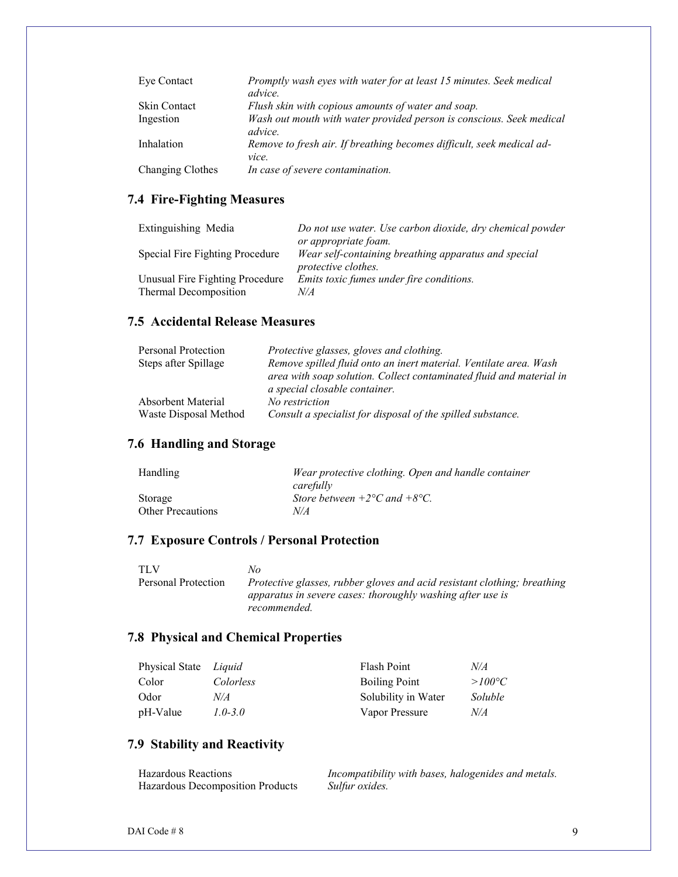| Eye Contact         | Promptly wash eyes with water for at least 15 minutes. Seek medical<br><i>advice.</i> |
|---------------------|---------------------------------------------------------------------------------------|
| <b>Skin Contact</b> | Flush skin with copious amounts of water and soap.                                    |
| Ingestion           | Wash out mouth with water provided person is conscious. Seek medical<br>advice.       |
| Inhalation          | Remove to fresh air. If breathing becomes difficult, seek medical ad-<br>vice.        |
| Changing Clothes    | In case of severe contamination.                                                      |

# **7.4 Fire-Fighting Measures**

| Extinguishing Media             | Do not use water. Use carbon dioxide, dry chemical powder                          |
|---------------------------------|------------------------------------------------------------------------------------|
|                                 | or appropriate foam.                                                               |
| Special Fire Fighting Procedure | Wear self-containing breathing apparatus and special<br><i>protective clothes.</i> |
| Unusual Fire Fighting Procedure | Emits toxic fumes under fire conditions.                                           |
| Thermal Decomposition           | N/A                                                                                |

### **7.5 Accidental Release Measures**

| Personal Protection                                | Protective glasses, gloves and clothing.                                                                                                                                  |
|----------------------------------------------------|---------------------------------------------------------------------------------------------------------------------------------------------------------------------------|
| Steps after Spillage                               | Remove spilled fluid onto an inert material. Ventilate area. Wash<br>area with soap solution. Collect contaminated fluid and material in<br>a special closable container. |
| <b>Absorbent Material</b><br>Waste Disposal Method | No restriction<br>Consult a specialist for disposal of the spilled substance.                                                                                             |

# **7.6 Handling and Storage**

| Handling                 | Wear protective clothing. Open and handle container |
|--------------------------|-----------------------------------------------------|
|                          | carefully                                           |
| Storage                  | Store between $+2$ °C and $+8$ °C.                  |
| <b>Other Precautions</b> | N/A                                                 |

#### **7.7 Exposure Controls / Personal Protection**

TLV *No*

Personal Protection *Protective glasses, rubber gloves and acid resistant clothing; breathing apparatus in severe cases: thoroughly washing after use is recommended.*

# **7.8 Physical and Chemical Properties**

| Physical State Liquid |             | Flash Point          | N/A             |
|-----------------------|-------------|----------------------|-----------------|
| Color                 | Colorless   | <b>Boiling Point</b> | $>100^{\circ}C$ |
| Odor                  | N/A         | Solubility in Water  | Soluble         |
| pH-Value              | $1.0 - 3.0$ | Vapor Pressure       | N/A             |

# **7.9 Stability and Reactivity**

| <b>Hazardous Reactions</b>       | Incompatibility with bases, halogenides and metals. |
|----------------------------------|-----------------------------------------------------|
| Hazardous Decomposition Products | Sulfur oxides.                                      |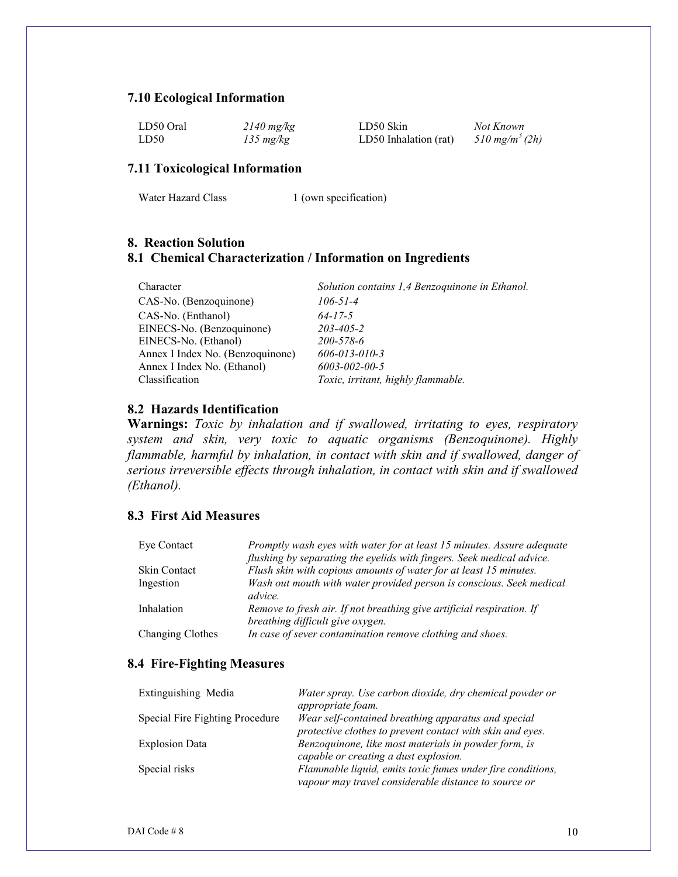#### **7.10 Ecological Information**

| LD50 Oral | $2140$ mg/kg        | LD50 Skin             | Not Known                  |
|-----------|---------------------|-----------------------|----------------------------|
| LD50      | $135 \text{ mg/kg}$ | LD50 Inhalation (rat) | 510 mg/m <sup>3</sup> (2h) |

#### **7.11 Toxicological Information**

|  | Water Hazard Class |  |
|--|--------------------|--|
|--|--------------------|--|

1 (own specification)

# **8. Reaction Solution 8.1 Chemical Characterization / Information on Ingredients**

| Character                        | Solution contains 1,4 Benzoquinone in Ethanol. |
|----------------------------------|------------------------------------------------|
| CAS-No. (Benzoquinone)           | $106 - 51 - 4$                                 |
| CAS-No. (Enthanol)               | $64 - 17 - 5$                                  |
| EINECS-No. (Benzoquinone)        | 203-405-2                                      |
| EINECS-No. (Ethanol)             | 200-578-6                                      |
| Annex I Index No. (Benzoquinone) | $606 - 013 - 010 - 3$                          |
| Annex I Index No. (Ethanol)      | 6003-002-00-5                                  |
| Classification                   | Toxic, irritant, highly flammable.             |

# **8.2 Hazards Identification**

**Warnings:** *Toxic by inhalation and if swallowed, irritating to eyes, respiratory system and skin, very toxic to aquatic organisms (Benzoquinone). Highly flammable, harmful by inhalation, in contact with skin and if swallowed, danger of serious irreversible effects through inhalation, in contact with skin and if swallowed (Ethanol).*

#### **8.3 First Aid Measures**

| Eye Contact      | Promptly wash eyes with water for at least 15 minutes. Assure adequate                                    |
|------------------|-----------------------------------------------------------------------------------------------------------|
|                  | flushing by separating the eyelids with fingers. Seek medical advice.                                     |
| Skin Contact     | Flush skin with copious amounts of water for at least 15 minutes.                                         |
| Ingestion        | Wash out mouth with water provided person is conscious. Seek medical<br><i>advice</i> .                   |
| Inhalation       | Remove to fresh air. If not breathing give artificial respiration. If<br>breathing difficult give oxygen. |
| Changing Clothes | In case of sever contamination remove clothing and shoes.                                                 |

#### **8.4 Fire-Fighting Measures**

| Extinguishing Media             | Water spray. Use carbon dioxide, dry chemical powder or    |
|---------------------------------|------------------------------------------------------------|
|                                 | appropriate foam.                                          |
| Special Fire Fighting Procedure | Wear self-contained breathing apparatus and special        |
|                                 | protective clothes to prevent contact with skin and eyes.  |
| <b>Explosion Data</b>           | Benzoquinone, like most materials in powder form, is       |
|                                 | capable or creating a dust explosion.                      |
| Special risks                   | Flammable liquid, emits toxic fumes under fire conditions, |
|                                 | vapour may travel considerable distance to source or       |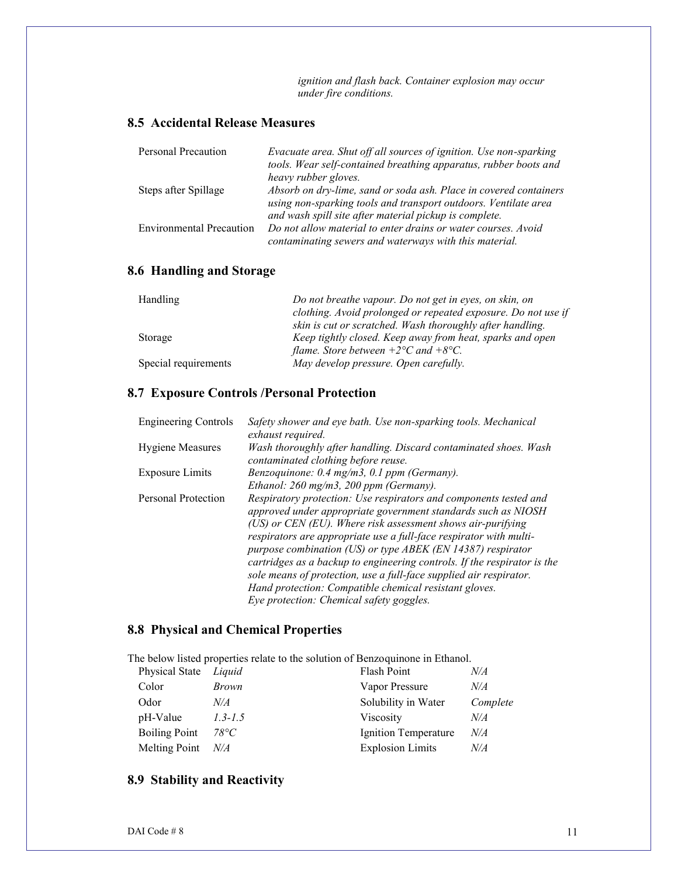*ignition and flash back. Container explosion may occur under fire conditions.*

## **8.5 Accidental Release Measures**

| Personal Precaution             | Evacuate area. Shut off all sources of ignition. Use non-sparking |
|---------------------------------|-------------------------------------------------------------------|
|                                 | tools. Wear self-contained breathing apparatus, rubber boots and  |
|                                 | heavy rubber gloves.                                              |
| Steps after Spillage            | Absorb on dry-lime, sand or soda ash. Place in covered containers |
|                                 | using non-sparking tools and transport outdoors. Ventilate area   |
|                                 | and wash spill site after material pickup is complete.            |
| <b>Environmental Precaution</b> | Do not allow material to enter drains or water courses. Avoid     |
|                                 | contaminating sewers and waterways with this material.            |

# **8.6 Handling and Storage**

| Handling             | Do not breathe vapour. Do not get in eyes, on skin, on        |
|----------------------|---------------------------------------------------------------|
|                      | clothing. Avoid prolonged or repeated exposure. Do not use if |
|                      | skin is cut or scratched. Wash thoroughly after handling.     |
| Storage              | Keep tightly closed. Keep away from heat, sparks and open     |
|                      | flame. Store between $+2$ °C and $+8$ °C.                     |
| Special requirements | May develop pressure. Open carefully.                         |

# **8.7 Exposure Controls /Personal Protection**

| <b>Engineering Controls</b> | Safety shower and eye bath. Use non-sparking tools. Mechanical<br>exhaust required.                                                                                                                                                                                                                                                                                                                                                                                                                                                                                                              |
|-----------------------------|--------------------------------------------------------------------------------------------------------------------------------------------------------------------------------------------------------------------------------------------------------------------------------------------------------------------------------------------------------------------------------------------------------------------------------------------------------------------------------------------------------------------------------------------------------------------------------------------------|
| <b>Hygiene Measures</b>     | Wash thoroughly after handling. Discard contaminated shoes. Wash<br>contaminated clothing before reuse.                                                                                                                                                                                                                                                                                                                                                                                                                                                                                          |
| <b>Exposure Limits</b>      | Benzoquinone: 0.4 mg/m3, 0.1 ppm (Germany).                                                                                                                                                                                                                                                                                                                                                                                                                                                                                                                                                      |
|                             | Ethanol: $260$ mg/m3, $200$ ppm (Germany).                                                                                                                                                                                                                                                                                                                                                                                                                                                                                                                                                       |
| Personal Protection         | Respiratory protection: Use respirators and components tested and<br>approved under appropriate government standards such as NIOSH<br>$(US)$ or CEN (EU). Where risk assessment shows air-purifying<br>respirators are appropriate use a full-face respirator with multi-<br>purpose combination (US) or type ABEK (EN 14387) respirator<br>cartridges as a backup to engineering controls. If the respirator is the<br>sole means of protection, use a full-face supplied air respirator.<br>Hand protection: Compatible chemical resistant gloves.<br>Eye protection: Chemical safety goggles. |

# **8.8 Physical and Chemical Properties**

The below listed properties relate to the solution of Benzoquinone in Ethanol.

| Physical State       | Liquid        | Flash Point             | N/A      |
|----------------------|---------------|-------------------------|----------|
| Color                | <i>Brown</i>  | Vapor Pressure          | N/A      |
| Odor                 | N/A           | Solubility in Water     | Complete |
| pH-Value             | $1.3 - 1.5$   | Viscosity               | N/A      |
| <b>Boiling Point</b> | $78^{\circ}C$ | Ignition Temperature    | N/A      |
| Melting Point        | $N\!/\!A$     | <b>Explosion Limits</b> | N/A      |

# **8.9 Stability and Reactivity**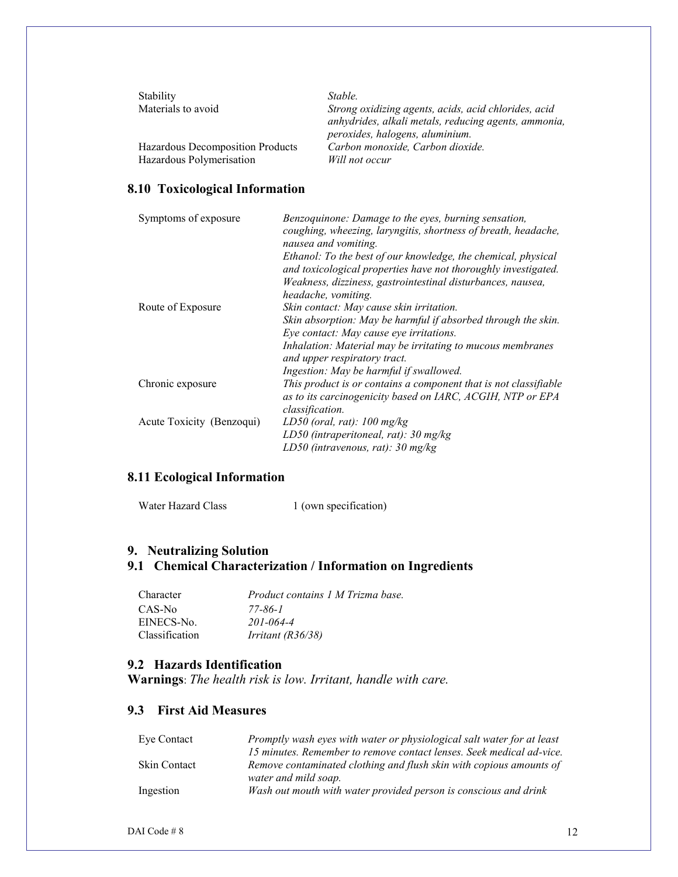| Stability<br>Materials to avoid  | Stable.<br>Strong oxidizing agents, acids, acid chlorides, acid<br>anhydrides, alkali metals, reducing agents, ammonia,<br>peroxides, halogens, aluminium. |
|----------------------------------|------------------------------------------------------------------------------------------------------------------------------------------------------------|
| Hazardous Decomposition Products | Carbon monoxide, Carbon dioxide.                                                                                                                           |
| Hazardous Polymerisation         | Will not occur                                                                                                                                             |

#### **8.10 Toxicological Information**

| Symptoms of exposure      | Benzoquinone: Damage to the eyes, burning sensation,<br>coughing, wheezing, laryngitis, shortness of breath, headache,<br>nausea and vomiting.                                                 |
|---------------------------|------------------------------------------------------------------------------------------------------------------------------------------------------------------------------------------------|
|                           | Ethanol: To the best of our knowledge, the chemical, physical<br>and toxicological properties have not thoroughly investigated.<br>Weakness, dizziness, gastrointestinal disturbances, nausea, |
|                           | headache, vomiting.                                                                                                                                                                            |
| Route of Exposure         | Skin contact: May cause skin irritation.                                                                                                                                                       |
|                           | Skin absorption: May be harmful if absorbed through the skin.                                                                                                                                  |
|                           | Eye contact: May cause eye irritations.                                                                                                                                                        |
|                           | Inhalation: Material may be irritating to mucous membranes<br>and upper respiratory tract.                                                                                                     |
|                           | Ingestion: May be harmful if swallowed.                                                                                                                                                        |
| Chronic exposure          | This product is or contains a component that is not classifiable<br>as to its carcinogenicity based on IARC, ACGIH, NTP or EPA                                                                 |
|                           | classification.                                                                                                                                                                                |
| Acute Toxicity (Benzoqui) | LD50 (oral, rat): $100 \text{ mg/kg}$                                                                                                                                                          |
|                           | LD50 (intraperitoneal, rat): $30 \text{ mg/kg}$                                                                                                                                                |
|                           | LD50 (intravenous, rat): $30 \text{ mg/kg}$                                                                                                                                                    |

# **8.11 Ecological Information**

| Water Hazard Class | 1 (own specification) |
|--------------------|-----------------------|
|--------------------|-----------------------|

# **9. Neutralizing Solution**

# **9.1 Chemical Characterization / Information on Ingredients**

| <b>Character</b>      | Product contains 1 M Trizma base. |
|-----------------------|-----------------------------------|
| CAS-No                | 77-86-1                           |
| EINECS-No.            | 201-064-4                         |
| <b>Classification</b> | <i>Irritant</i> $(R36/38)$        |

#### **9.2 Hazards Identification**

**Warnings**: *The health risk is low. Irritant, handle with care.*

### **9.3 First Aid Measures**

| Eye Contact         | Promptly wash eyes with water or physiological salt water for at least |
|---------------------|------------------------------------------------------------------------|
|                     | 15 minutes. Remember to remove contact lenses. Seek medical ad-vice.   |
| <b>Skin Contact</b> | Remove contaminated clothing and flush skin with copious amounts of    |
|                     | water and mild soap.                                                   |
| Ingestion           | Wash out mouth with water provided person is conscious and drink       |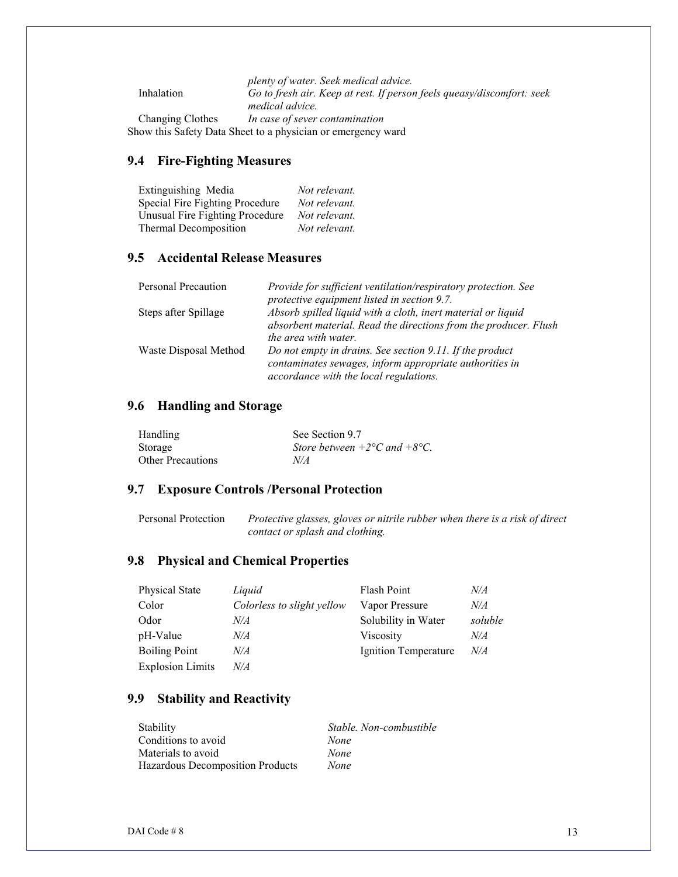*plenty of water. Seek medical advice.* Inhalation *Go to fresh air. Keep at rest. If person feels queasy/discomfort: seek medical advice.* Changing Clothes *In case of sever contamination*  Show this Safety Data Sheet to a physician or emergency ward

#### **9.4 Fire-Fighting Measures**

| Extinguishing Media             | Not relevant. |
|---------------------------------|---------------|
| Special Fire Fighting Procedure | Not relevant. |
| Unusual Fire Fighting Procedure | Not relevant. |
| Thermal Decomposition           | Not relevant. |

#### **9.5 Accidental Release Measures**

| Personal Precaution   | Provide for sufficient ventilation/respiratory protection. See<br>protective equipment listed in section 9.7.                                                   |
|-----------------------|-----------------------------------------------------------------------------------------------------------------------------------------------------------------|
| Steps after Spillage  | Absorb spilled liquid with a cloth, inert material or liquid<br>absorbent material. Read the directions from the producer. Flush<br><i>the area with water.</i> |
| Waste Disposal Method | Do not empty in drains. See section 9.11. If the product<br>contaminates sewages, inform appropriate authorities in<br>accordance with the local regulations.   |

#### **9.6 Handling and Storage**

| Handling                 | See Section 9.7                    |
|--------------------------|------------------------------------|
| Storage                  | Store between $+2$ °C and $+8$ °C. |
| <b>Other Precautions</b> | N/A                                |

#### **9.7 Exposure Controls /Personal Protection**

Personal Protection *Protective glasses, gloves or nitrile rubber when there is a risk of direct contact or splash and clothing.*

#### **9.8 Physical and Chemical Properties**

| <b>Physical State</b>   | Liquid                     | <b>Flash Point</b>   | N/A     |
|-------------------------|----------------------------|----------------------|---------|
| Color                   | Colorless to slight yellow | Vapor Pressure       | N/A     |
| Odor                    | N/A                        | Solubility in Water  | soluble |
| pH-Value                | N/A                        | Viscosity            | N/A     |
| <b>Boiling Point</b>    | N/A                        | Ignition Temperature | N/A     |
| <b>Explosion Limits</b> | N/A                        |                      |         |

#### **9.9 Stability and Reactivity**

| Stability                        | Stable. Non-combustible |
|----------------------------------|-------------------------|
| Conditions to avoid              | None                    |
| Materials to avoid               | None                    |
| Hazardous Decomposition Products | None                    |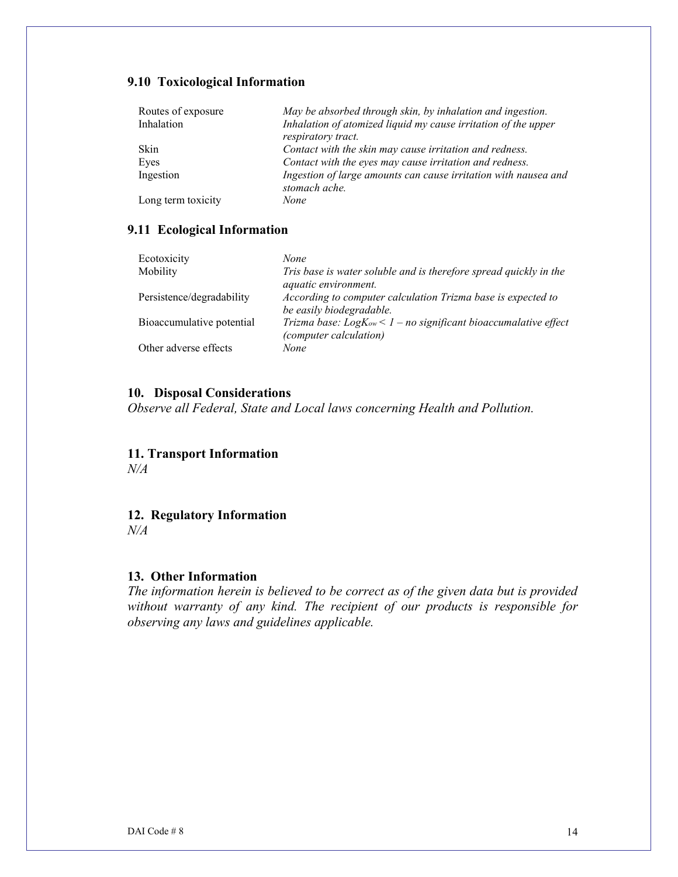# **9.10 Toxicological Information**

| Routes of exposure<br>Inhalation | May be absorbed through skin, by inhalation and ingestion.<br>Inhalation of atomized liquid my cause irritation of the upper |
|----------------------------------|------------------------------------------------------------------------------------------------------------------------------|
|                                  | respiratory tract.                                                                                                           |
| Skin                             | Contact with the skin may cause irritation and redness.                                                                      |
| Eyes                             | Contact with the eyes may cause irritation and redness.                                                                      |
| Ingestion                        | Ingestion of large amounts can cause irritation with nausea and<br>stomach ache.                                             |
| Long term toxicity               | None                                                                                                                         |

#### **9.11 Ecological Information**

| Ecotoxicity               | None.                                                                                          |
|---------------------------|------------------------------------------------------------------------------------------------|
| Mobility                  | Tris base is water soluble and is therefore spread quickly in the<br>aquatic environment.      |
| Persistence/degradability | According to computer calculation Trizma base is expected to<br>be easily biodegradable.       |
| Bioaccumulative potential | Trizma base: $LogK_{ow} < 1 - no$ significant bioaccumalative effect<br>(computer calculation) |
| Other adverse effects     | None                                                                                           |

#### **10. Disposal Considerations**

*Observe all Federal, State and Local laws concerning Health and Pollution.*

# **11. Transport Information**

*N/A*

# **12. Regulatory Information**

*N/A*

#### **13. Other Information**

*The information herein is believed to be correct as of the given data but is provided without warranty of any kind. The recipient of our products is responsible for observing any laws and guidelines applicable.*